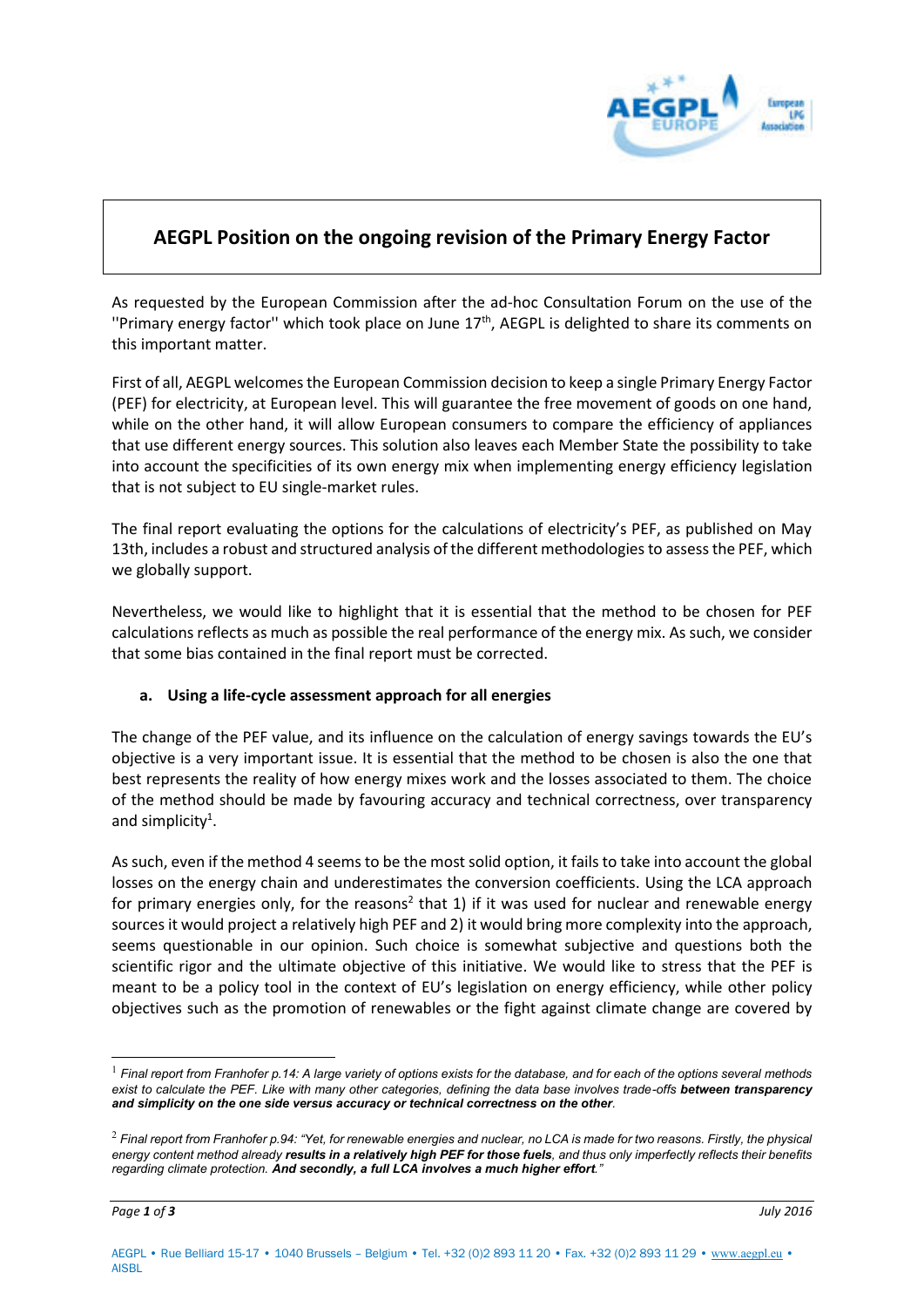

# **AEGPL Position on the ongoing revision of the Primary Energy Factor**

As requested by the European Commission after the ad-hoc Consultation Forum on the use of the "Primary energy factor" which took place on June 17<sup>th</sup>, AEGPL is delighted to share its comments on this important matter.

First of all, AEGPL welcomes the European Commission decision to keep a single Primary Energy Factor (PEF) for electricity, at European level. This will guarantee the free movement of goods on one hand, while on the other hand, it will allow European consumers to compare the efficiency of appliances that use different energy sources. This solution also leaves each Member State the possibility to take into account the specificities of its own energy mix when implementing energy efficiency legislation that is not subject to EU single-market rules.

The final report evaluating the options for the calculations of electricity's PEF, as published on May 13th, includes a robust and structured analysis of the different methodologies to assess the PEF, which we globally support.

Nevertheless, we would like to highlight that it is essential that the method to be chosen for PEF calculations reflects as much as possible the real performance of the energy mix. As such, we consider that some bias contained in the final report must be corrected.

# **a. Using a life-cycle assessment approach for all energies**

The change of the PEF value, and its influence on the calculation of energy savings towards the EU's objective is a very important issue. It is essential that the method to be chosen is also the one that best represents the reality of how energy mixes work and the losses associated to them. The choice of the method should be made by favouring accuracy and technical correctness, over transparency and simplicity<sup>1</sup>.

As such, even if the method 4 seems to be the most solid option, it fails to take into account the global losses on the energy chain and underestimates the conversion coefficients. Using the LCA approach for primary energies only, for the reasons<sup>2</sup> that 1) if it was used for nuclear and renewable energy sources it would project a relatively high PEF and 2) it would bring more complexity into the approach, seems questionable in our opinion. Such choice is somewhat subjective and questions both the scientific rigor and the ultimate objective of this initiative. We would like to stress that the PEF is meant to be a policy tool in the context of EU's legislation on energy efficiency, while other policy objectives such as the promotion of renewables or the fight against climate change are covered by

-

<sup>&</sup>lt;sup>1</sup> Final report from Franhofer p.14: A large variety of options exists for the database, and for each of the options several methods exist to calculate the PEF. Like with many other categories, defining the data base involves trade-offs **between transparency** *and simplicity on the one side versus accuracy or technical correctness on the other.* 

<sup>2</sup> *Final report from Franhofer p.94: "Yet, for renewable energies and nuclear, no LCA is made for two reasons. Firstly, the physical energy content method already results in a relatively high PEF for those fuels, and thus only imperfectly reflects their benefits regarding climate protection. And secondly, a full LCA involves a much higher effort."*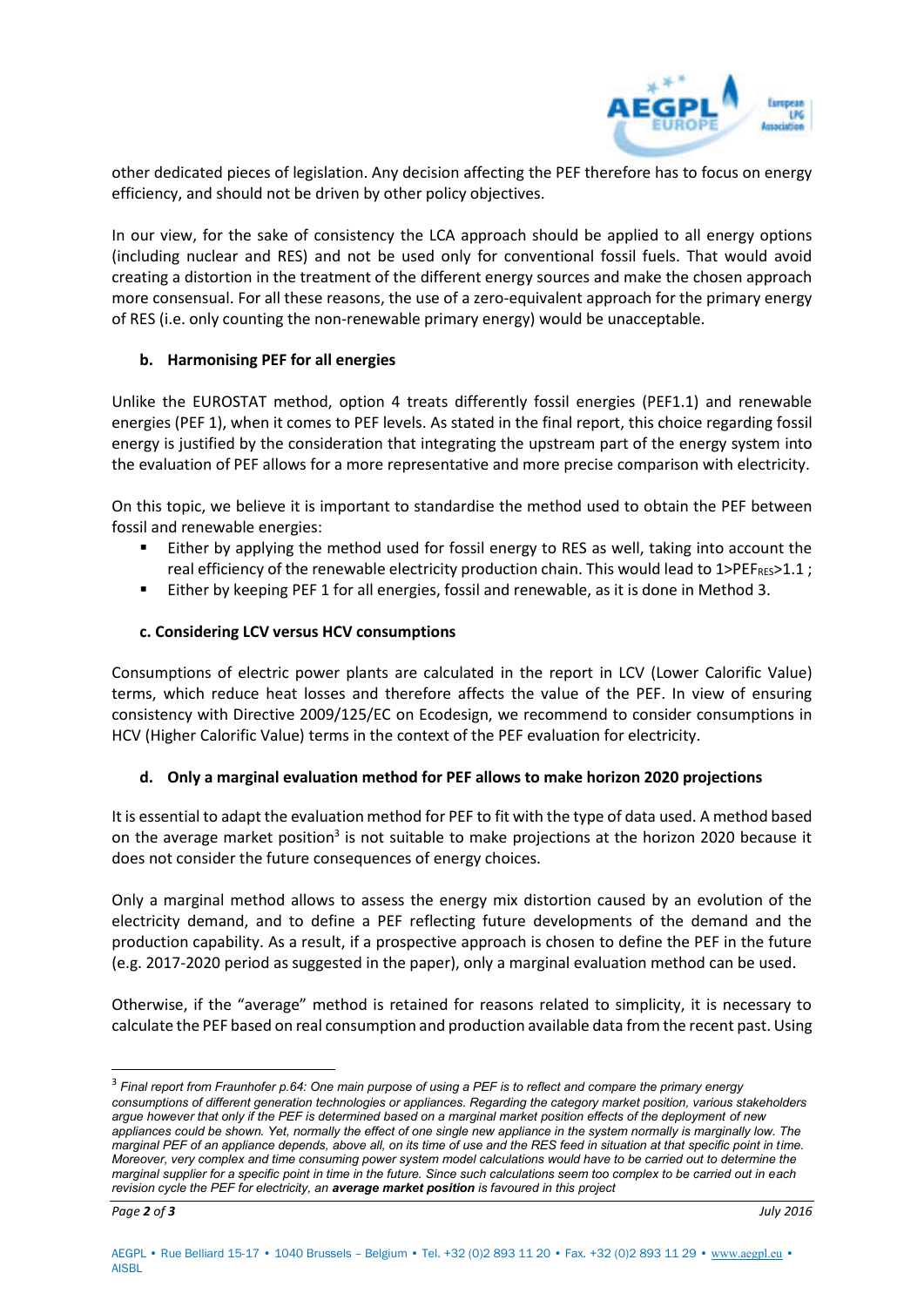

other dedicated pieces of legislation. Any decision affecting the PEF therefore has to focus on energy efficiency, and should not be driven by other policy objectives.

In our view, for the sake of consistency the LCA approach should be applied to all energy options (including nuclear and RES) and not be used only for conventional fossil fuels. That would avoid creating a distortion in the treatment of the different energy sources and make the chosen approach more consensual. For all these reasons, the use of a zero-equivalent approach for the primary energy of RES (i.e. only counting the non-renewable primary energy) would be unacceptable.

## **b. Harmonising PEF for all energies**

Unlike the EUROSTAT method, option 4 treats differently fossil energies (PEF1.1) and renewable energies (PEF 1), when it comes to PEF levels. As stated in the final report, this choice regarding fossil energy is justified by the consideration that integrating the upstream part of the energy system into the evaluation of PEF allows for a more representative and more precise comparison with electricity.

On this topic, we believe it is important to standardise the method used to obtain the PEF between fossil and renewable energies:

- Either by applying the method used for fossil energy to RES as well, taking into account the real efficiency of the renewable electricity production chain. This would lead to  $1$ >PEF<sub>RES</sub>>1.1;
- Either by keeping PEF 1 for all energies, fossil and renewable, as it is done in Method 3.

## **c. Considering LCV versus HCV consumptions**

Consumptions of electric power plants are calculated in the report in LCV (Lower Calorific Value) terms, which reduce heat losses and therefore affects the value of the PEF. In view of ensuring consistency with Directive 2009/125/EC on Ecodesign, we recommend to consider consumptions in HCV (Higher Calorific Value) terms in the context of the PEF evaluation for electricity.

# **d. Only a marginal evaluation method for PEF allows to make horizon 2020 projections**

It is essential to adapt the evaluation method for PEF to fit with the type of data used. A method based on the average market position<sup>3</sup> is not suitable to make projections at the horizon 2020 because it does not consider the future consequences of energy choices.

Only a marginal method allows to assess the energy mix distortion caused by an evolution of the electricity demand, and to define a PEF reflecting future developments of the demand and the production capability. As a result, if a prospective approach is chosen to define the PEF in the future (e.g. 2017-2020 period as suggested in the paper), only a marginal evaluation method can be used.

Otherwise, if the "average" method is retained for reasons related to simplicity, it is necessary to calculate the PEF based on real consumption and production available data from the recent past. Using

-

<sup>3</sup> *Final report from Fraunhofer p.64: One main purpose of using a PEF is to reflect and compare the primary energy consumptions of different generation technologies or appliances. Regarding the category market position, various stakeholders argue however that only if the PEF is determined based on a marginal market position effects of the deployment of new appliances could be shown. Yet, normally the effect of one single new appliance in the system normally is marginally low. The marginal PEF of an appliance depends, above all, on its time of use and the RES feed in situation at that specific point in time. Moreover, very complex and time consuming power system model calculations would have to be carried out to determine the marginal supplier for a specific point in time in the future. Since such calculations seem too complex to be carried out in each revision cycle the PEF for electricity, an average market position is favoured in this project*